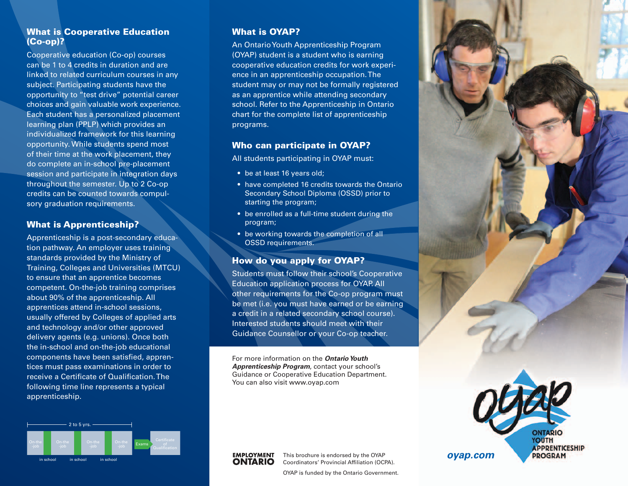# What is Cooperative Education (Co-op)?

Cooperative education (Co-op) courses can be 1 to 4 credits in duration and are linked to related curriculum courses in any subject. Participating students have the opportunity to "test drive" potential career choices and gain valuable work experience. Each student has a personalized placement learning plan (PPLP) which provides an individualized framework for this learning opportunity. While students spend most of their time at the work placement, they do complete an in-school pre-placement session and participate in integration days throughout the semester. Up to 2 Co-op credits can be counted towards compulsory graduation requirements.

### What is Apprenticeship?

Apprenticeship is a post-secondary education pathway. An employer uses training standards provided by the Ministry of Training, Colleges and Universities (MTCU) to ensure that an apprentice becomes competent. On-the-job training comprises about 90% of the apprenticeship. All apprentices attend in-school sessions, usually offered by Colleges of applied arts and technology and/or other approved delivery agents (e.g. unions). Once both the in-school and on-the-job educational components have been satisfied, apprentices must pass examinations in order to receive a Certificate of Qualification. The following time line represents a typical apprenticeship.



# What is OYAP?

An Ontario Youth Apprenticeship Program (OYAP) student is a student who is earning cooperative education credits for work experience in an apprenticeship occupation. The student may or may not be formally registered as an apprentice while attending secondary school. Refer to the Apprenticeship in Ontario chart for the complete list of apprenticeship programs.

## Who can participate in OYAP?

All students participating in OYAP must:

- be at least 16 years old;
- have completed 16 credits towards the Ontario Secondary School Diploma (OSSD) prior to starting the program;
- be enrolled as a full-time student during the program;
- be working towards the completion of all OSSD requirements.

# How do you apply for OYAP?

Students must follow their school's Cooperative Education application process for OYAP. All other requirements for the Co-op program must be met (i.e. you must have earned or be earning a credit in a related secondary school course). Interested students should meet with their Guidance Counsellor or your Co-op teacher.

For more information on the *Ontario Youth Apprenticeship Program*, contact your school's Guidance or Cooperative Education Department. You can also visit www.oyap.com



**EMPLOYMENT** 

**ONTARIO** 

OYAP is funded by the Ontario Government.